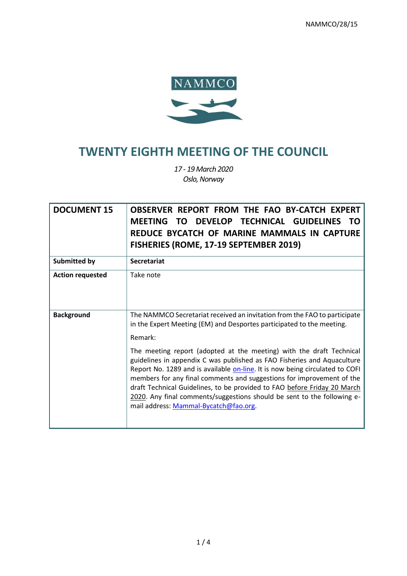

# **TWENTY EIGHTH MEETING OF THE COUNCIL**

*17 - 19 March 2020 Oslo, Norway*

| <b>DOCUMENT 15</b>      | OBSERVER REPORT FROM THE FAO BY-CATCH EXPERT<br><b>MEETING TO</b><br>DEVELOP TECHNICAL GUIDELINES<br>- то<br>REDUCE BYCATCH OF MARINE MAMMALS IN CAPTURE<br><b>FISHERIES (ROME, 17-19 SEPTEMBER 2019)</b>                                                                                                                                                                                                                                                                                                |
|-------------------------|----------------------------------------------------------------------------------------------------------------------------------------------------------------------------------------------------------------------------------------------------------------------------------------------------------------------------------------------------------------------------------------------------------------------------------------------------------------------------------------------------------|
| Submitted by            | <b>Secretariat</b>                                                                                                                                                                                                                                                                                                                                                                                                                                                                                       |
| <b>Action requested</b> | Take note                                                                                                                                                                                                                                                                                                                                                                                                                                                                                                |
| <b>Background</b>       | The NAMMCO Secretariat received an invitation from the FAO to participate<br>in the Expert Meeting (EM) and Desportes participated to the meeting.<br>Remark:                                                                                                                                                                                                                                                                                                                                            |
|                         | The meeting report (adopted at the meeting) with the draft Technical<br>guidelines in appendix C was published as FAO Fisheries and Aquaculture<br>Report No. 1289 and is available on-line. It is now being circulated to COFI<br>members for any final comments and suggestions for improvement of the<br>draft Technical Guidelines, to be provided to FAO before Friday 20 March<br>2020. Any final comments/suggestions should be sent to the following e-<br>mail address: Mammal-Bycatch@fao.org. |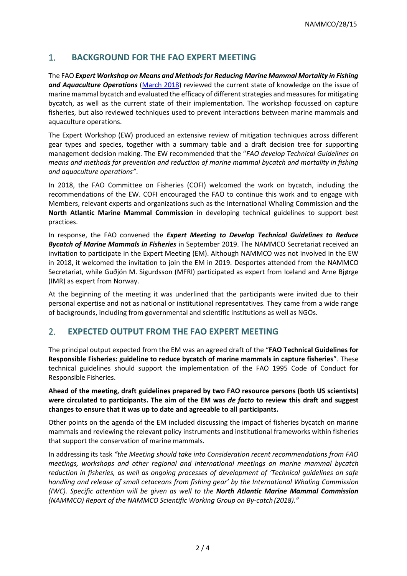## 1. **BACKGROUND FOR THE FAO EXPERT MEETING**

The FAO *Expert Workshop on Means and Methods for Reducing Marine Mammal Mortality in Fishing*  and Aquaculture Operations [\(March 2018\)](http://www.fao.org/3/i9993en/I9993EN.pdf) reviewed the current state of knowledge on the issue of marine mammal bycatch and evaluated the efficacy of different strategies and measures for mitigating bycatch, as well as the current state of their implementation. The workshop focussed on capture fisheries, but also reviewed techniques used to prevent interactions between marine mammals and aquaculture operations.

The Expert Workshop (EW) produced an extensive review of mitigation techniques across different gear types and species, together with a summary table and a draft decision tree for supporting management decision making. The EW recommended that the "*FAO develop Technical Guidelines on means and methods for prevention and reduction of marine mammal bycatch and mortality in fishing and aquaculture operations"*.

In 2018, the FAO Committee on Fisheries (COFI) welcomed the work on bycatch, including the recommendations of the EW. COFI encouraged the FAO to continue this work and to engage with Members, relevant experts and organizations such as the International Whaling Commission and the **North Atlantic Marine Mammal Commission** in developing technical guidelines to support best practices.

In response, the FAO convened the *Expert Meeting to Develop Technical Guidelines to Reduce Bycatch of Marine Mammals in Fisheries* in September 2019. The NAMMCO Secretariat received an invitation to participate in the Expert Meeting (EM). Although NAMMCO was not involved in the EW in 2018, it welcomed the invitation to join the EM in 2019. Desportes attended from the NAMMCO Secretariat, while Guðjón M. Sigurdsson (MFRI) participated as expert from Iceland and Arne Bjørge (IMR) as expert from Norway.

At the beginning of the meeting it was underlined that the participants were invited due to their personal expertise and not as national or institutional representatives. They came from a wide range of backgrounds, including from governmental and scientific institutions as well as NGOs.

## 2. **EXPECTED OUTPUT FROM THE FAO EXPERT MEETING**

The principal output expected from the EM was an agreed draft of the "**FAO Technical Guidelines for Responsible Fisheries: guideline to reduce bycatch of marine mammals in capture fisheries**". These technical guidelines should support the implementation of the FAO 1995 Code of Conduct for Responsible Fisheries.

**Ahead of the meeting, draft guidelines prepared by two FAO resource persons (both US scientists) were circulated to participants. The aim of the EM was** *de facto* **to review this draft and suggest changes to ensure that it was up to date and agreeable to all participants.**

Other points on the agenda of the EM included discussing the impact of fisheries bycatch on marine mammals and reviewing the relevant policy instruments and institutional frameworks within fisheries that support the conservation of marine mammals.

In addressing its task *"the Meeting should take into Consideration recent recommendations from FAO meetings, workshops and other regional and international meetings on marine mammal bycatch reduction in fisheries, as well as ongoing processes of development of 'Technical guidelines on safe handling and release of small cetaceans from fishing gear' by the International Whaling Commission (IWC). Specific attention will be given as well to the North Atlantic Marine Mammal Commission (NAMMCO) Report of the NAMMCO Scientific Working Group on By-catch (2018)."*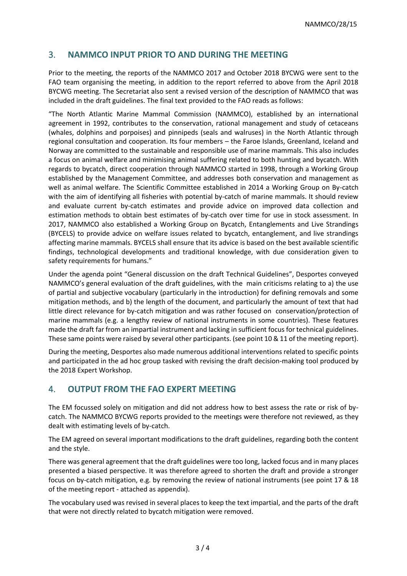#### 3. **NAMMCO INPUT PRIOR TO AND DURING THE MEETING**

Prior to the meeting, the reports of the NAMMCO 2017 and October 2018 BYCWG were sent to the FAO team organising the meeting, in addition to the report referred to above from the April 2018 BYCWG meeting. The Secretariat also sent a revised version of the description of NAMMCO that was included in the draft guidelines. The final text provided to the FAO reads as follows:

"The North Atlantic Marine Mammal Commission (NAMMCO), established by an international agreement in 1992, contributes to the conservation, rational management and study of cetaceans (whales, dolphins and porpoises) and pinnipeds (seals and walruses) in the North Atlantic through regional consultation and cooperation. Its four members – the Faroe Islands, Greenland, Iceland and Norway are committed to the sustainable and responsible use of marine mammals. This also includes a focus on animal welfare and minimising animal suffering related to both hunting and bycatch. With regards to bycatch, direct cooperation through NAMMCO started in 1998, through a Working Group established by the Management Committee, and addresses both conservation and management as well as animal welfare. The Scientific Committee established in 2014 a Working Group on By-catch with the aim of identifying all fisheries with potential by-catch of marine mammals. It should review and evaluate current by-catch estimates and provide advice on improved data collection and estimation methods to obtain best estimates of by-catch over time for use in stock assessment. In 2017, NAMMCO also established a Working Group on Bycatch, Entanglements and Live Strandings (BYCELS) to provide advice on welfare issues related to bycatch, entanglement, and live strandings affecting marine mammals. BYCELS shall ensure that its advice is based on the best available scientific findings, technological developments and traditional knowledge, with due consideration given to safety requirements for humans."

Under the agenda point "General discussion on the draft Technical Guidelines", Desportes conveyed NAMMCO's general evaluation of the draft guidelines, with the main criticisms relating to a) the use of partial and subjective vocabulary (particularly in the introduction) for defining removals and some mitigation methods, and b) the length of the document, and particularly the amount of text that had little direct relevance for by-catch mitigation and was rather focused on conservation/protection of marine mammals (e.g. a lengthy review of national instruments in some countries). These features made the draft far from an impartial instrument and lacking in sufficient focus for technical guidelines. These same points were raised by several other participants. (see point 10 & 11 of the meeting report).

During the meeting, Desportes also made numerous additional interventions related to specific points and participated in the ad hoc group tasked with revising the draft decision-making tool produced by the 2018 Expert Workshop.

#### 4. **OUTPUT FROM THE FAO EXPERT MEETING**

The EM focussed solely on mitigation and did not address how to best assess the rate or risk of bycatch. The NAMMCO BYCWG reports provided to the meetings were therefore not reviewed, as they dealt with estimating levels of by-catch.

The EM agreed on several important modifications to the draft guidelines, regarding both the content and the style.

There was general agreement that the draft guidelines were too long, lacked focus and in many places presented a biased perspective. It was therefore agreed to shorten the draft and provide a stronger focus on by-catch mitigation, e.g. by removing the review of national instruments (see point 17 & 18 of the meeting report - attached as appendix).

The vocabulary used was revised in several places to keep the text impartial, and the parts of the draft that were not directly related to bycatch mitigation were removed.